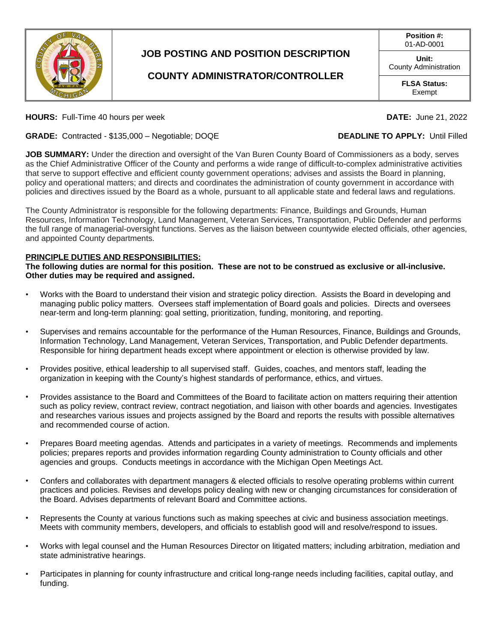

## **JOB POSTING AND POSITION DESCRIPTION**

## **COUNTY ADMINISTRATOR/CONTROLLER**

**Position #:** 01-AD-0001

**Unit:** County Administration

> **FLSA Status:** Exempt

**HOURS:** Full-Time 40 hours per week **DATE:** June 21, 2022

**GRADE:** Contracted - \$135,000 – Negotiable; DOQE **DEADLINE TO APPLY:** Until Filled

**JOB SUMMARY:** Under the direction and oversight of the Van Buren County Board of Commissioners as a body, serves as the Chief Administrative Officer of the County and performs a wide range of difficult-to-complex administrative activities that serve to support effective and efficient county government operations; advises and assists the Board in planning, policy and operational matters; and directs and coordinates the administration of county government in accordance with policies and directives issued by the Board as a whole, pursuant to all applicable state and federal laws and regulations.

The County Administrator is responsible for the following departments: Finance, Buildings and Grounds, Human Resources, Information Technology, Land Management, Veteran Services, Transportation, Public Defender and performs the full range of managerial-oversight functions. Serves as the liaison between countywide elected officials, other agencies, and appointed County departments.

### **PRINCIPLE DUTIES AND RESPONSIBILITIES:**

**The following duties are normal for this position. These are not to be construed as exclusive or all-inclusive. Other duties may be required and assigned.**

- Works with the Board to understand their vision and strategic policy direction. Assists the Board in developing and managing public policy matters. Oversees staff implementation of Board goals and policies. Directs and oversees near-term and long-term planning: goal setting, prioritization, funding, monitoring, and reporting.
- Supervises and remains accountable for the performance of the Human Resources, Finance, Buildings and Grounds, Information Technology, Land Management, Veteran Services, Transportation, and Public Defender departments. Responsible for hiring department heads except where appointment or election is otherwise provided by law.
- Provides positive, ethical leadership to all supervised staff. Guides, coaches, and mentors staff, leading the organization in keeping with the County's highest standards of performance, ethics, and virtues.
- Provides assistance to the Board and Committees of the Board to facilitate action on matters requiring their attention such as policy review, contract review, contract negotiation, and liaison with other boards and agencies. Investigates and researches various issues and projects assigned by the Board and reports the results with possible alternatives and recommended course of action.
- Prepares Board meeting agendas. Attends and participates in a variety of meetings. Recommends and implements policies; prepares reports and provides information regarding County administration to County officials and other agencies and groups. Conducts meetings in accordance with the Michigan Open Meetings Act.
- Confers and collaborates with department managers & elected officials to resolve operating problems within current practices and policies. Revises and develops policy dealing with new or changing circumstances for consideration of the Board. Advises departments of relevant Board and Committee actions.
- Represents the County at various functions such as making speeches at civic and business association meetings. Meets with community members, developers, and officials to establish good will and resolve/respond to issues.
- Works with legal counsel and the Human Resources Director on litigated matters; including arbitration, mediation and state administrative hearings.
- Participates in planning for county infrastructure and critical long-range needs including facilities, capital outlay, and funding.